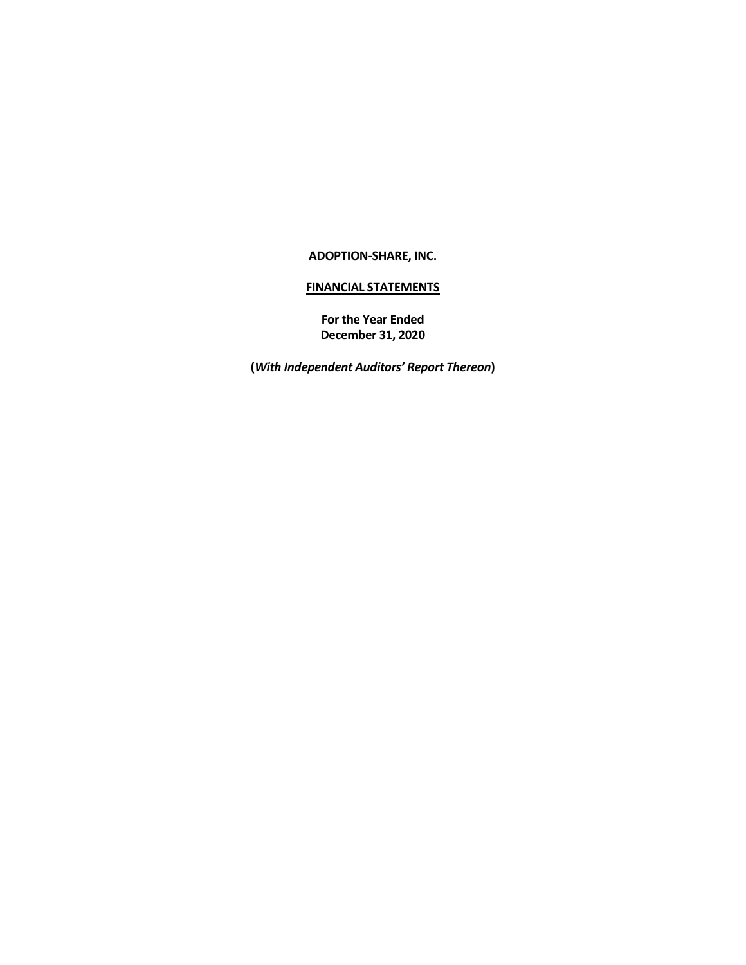# **ADOPTION-SHARE, INC.**

## **FINANCIAL STATEMENTS**

**For the Year Ended December 31, 2020**

**(***With Independent Auditors' Report Thereon***)**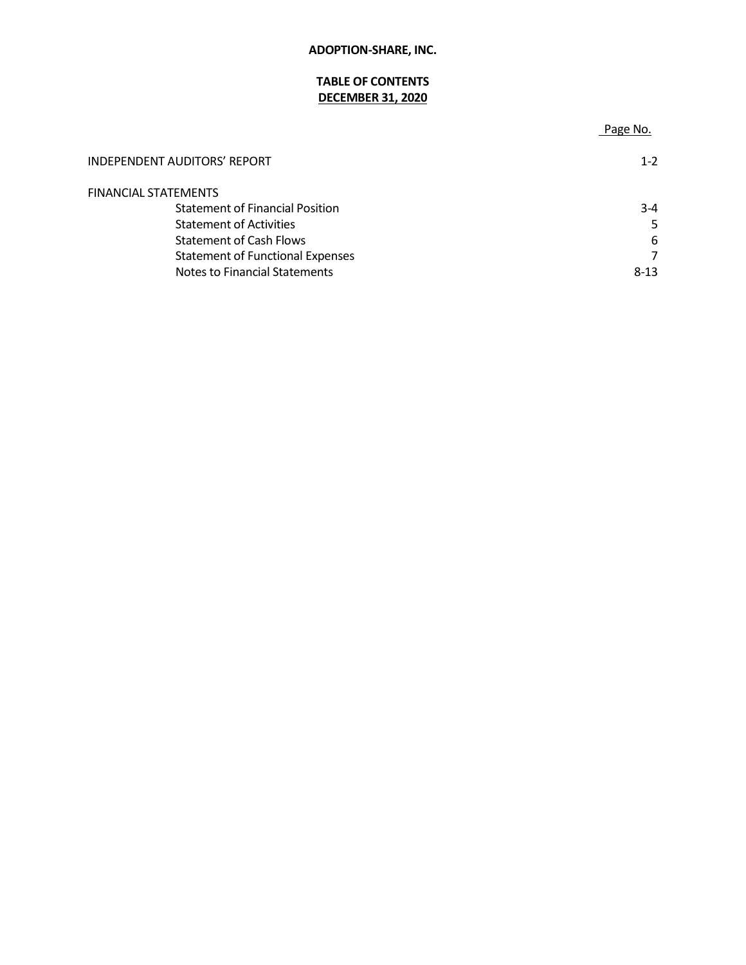# **TABLE OF CONTENTS DECEMBER 31, 2020**

|                                         | Page No. |
|-----------------------------------------|----------|
| INDEPENDENT AUDITORS' REPORT            | $1 - 2$  |
| <b>FINANCIAL STATEMENTS</b>             |          |
| <b>Statement of Financial Position</b>  | $3 - 4$  |
| <b>Statement of Activities</b>          | 5        |
| <b>Statement of Cash Flows</b>          | 6        |
| <b>Statement of Functional Expenses</b> |          |
| <b>Notes to Financial Statements</b>    | $8 - 13$ |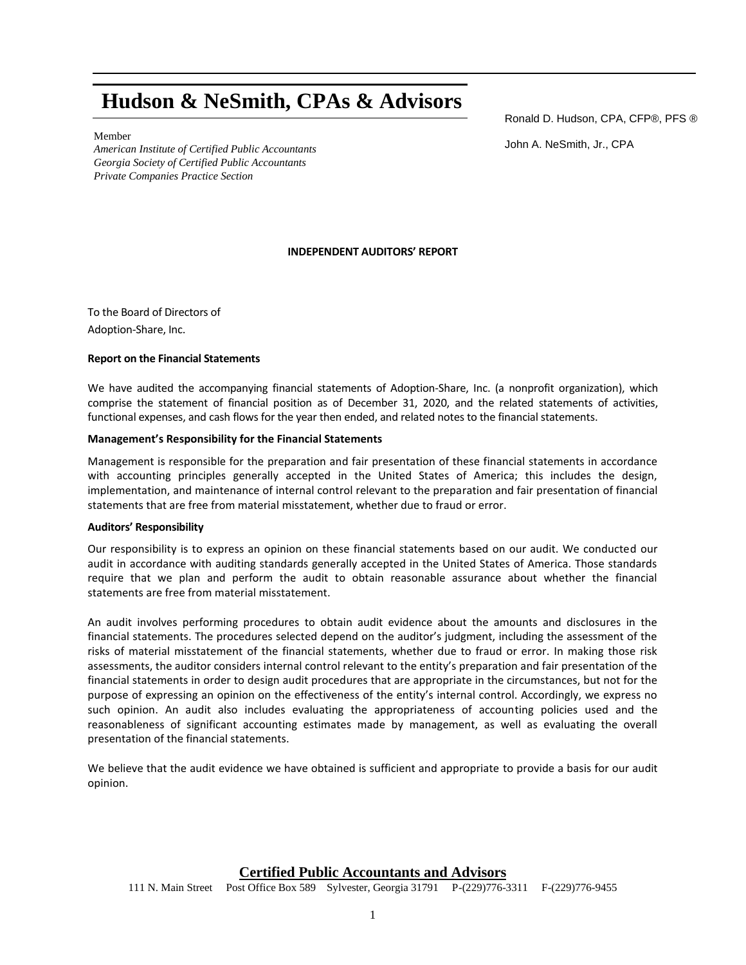# **Hudson & NeSmith, CPAs & Advisors**

Member

*American Institute of Certified Public Accountants Georgia Society of Certified Public Accountants Private Companies Practice Section*

Ronald D. Hudson, CPA, CFP®, PFS ®

John A. NeSmith, Jr., CPA

#### **INDEPENDENT AUDITORS' REPORT**

To the Board of Directors of Adoption-Share, Inc.

#### **Report on the Financial Statements**

We have audited the accompanying financial statements of Adoption-Share, Inc. (a nonprofit organization), which comprise the statement of financial position as of December 31, 2020, and the related statements of activities, functional expenses, and cash flows for the year then ended, and related notes to the financial statements.

#### **Management's Responsibility for the Financial Statements**

Management is responsible for the preparation and fair presentation of these financial statements in accordance with accounting principles generally accepted in the United States of America; this includes the design, implementation, and maintenance of internal control relevant to the preparation and fair presentation of financial statements that are free from material misstatement, whether due to fraud or error.

#### **Auditors' Responsibility**

Our responsibility is to express an opinion on these financial statements based on our audit. We conducted our audit in accordance with auditing standards generally accepted in the United States of America. Those standards require that we plan and perform the audit to obtain reasonable assurance about whether the financial statements are free from material misstatement.

An audit involves performing procedures to obtain audit evidence about the amounts and disclosures in the financial statements. The procedures selected depend on the auditor's judgment, including the assessment of the risks of material misstatement of the financial statements, whether due to fraud or error. In making those risk assessments, the auditor considers internal control relevant to the entity's preparation and fair presentation of the financial statements in order to design audit procedures that are appropriate in the circumstances, but not for the purpose of expressing an opinion on the effectiveness of the entity's internal control. Accordingly, we express no such opinion. An audit also includes evaluating the appropriateness of accounting policies used and the reasonableness of significant accounting estimates made by management, as well as evaluating the overall presentation of the financial statements.

We believe that the audit evidence we have obtained is sufficient and appropriate to provide a basis for our audit opinion.

**Certified Public Accountants and Advisors**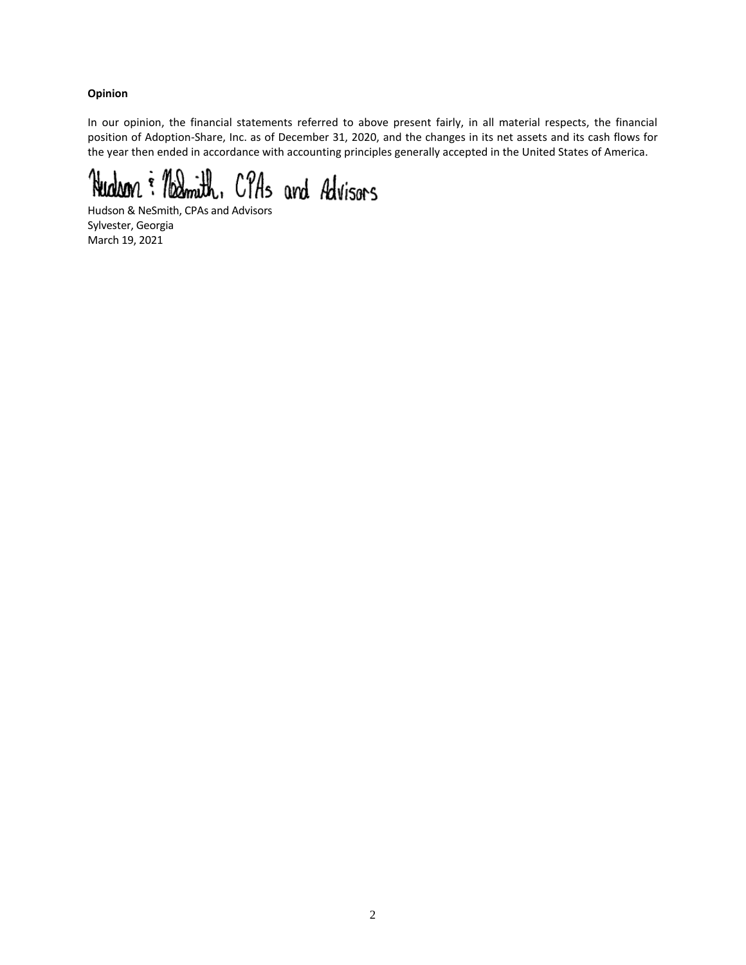**Opinion**

In our opinion, the financial statements referred to above present fairly, in all material respects, the financial position of Adoption-Share, Inc. as of December 31, 2020, and the changes in its net assets and its cash flows for the year then ended in accordance with accounting principles generally accepted in the United States of America.

Namith, CPAs and Advisors Hudson<sup>?</sup>

Hudson & NeSmith, CPAs and Advisors Sylvester, Georgia March 19, 2021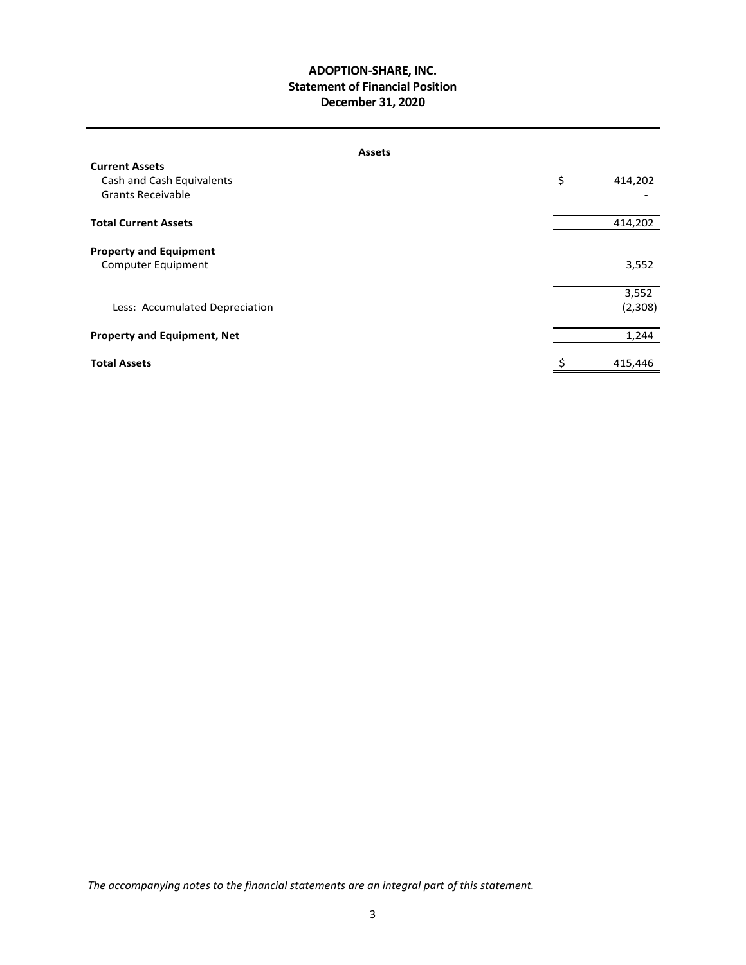# **ADOPTION-SHARE, INC. Statement of Financial Position December 31, 2020**

| <b>Assets</b>                      |               |  |
|------------------------------------|---------------|--|
| <b>Current Assets</b>              |               |  |
| Cash and Cash Equivalents          | \$<br>414,202 |  |
| <b>Grants Receivable</b>           |               |  |
| <b>Total Current Assets</b>        | 414,202       |  |
|                                    |               |  |
| <b>Property and Equipment</b>      |               |  |
| Computer Equipment                 | 3,552         |  |
|                                    | 3,552         |  |
| Less: Accumulated Depreciation     | (2,308)       |  |
| <b>Property and Equipment, Net</b> | 1,244         |  |
|                                    |               |  |
| <b>Total Assets</b>                | 415,446<br>\$ |  |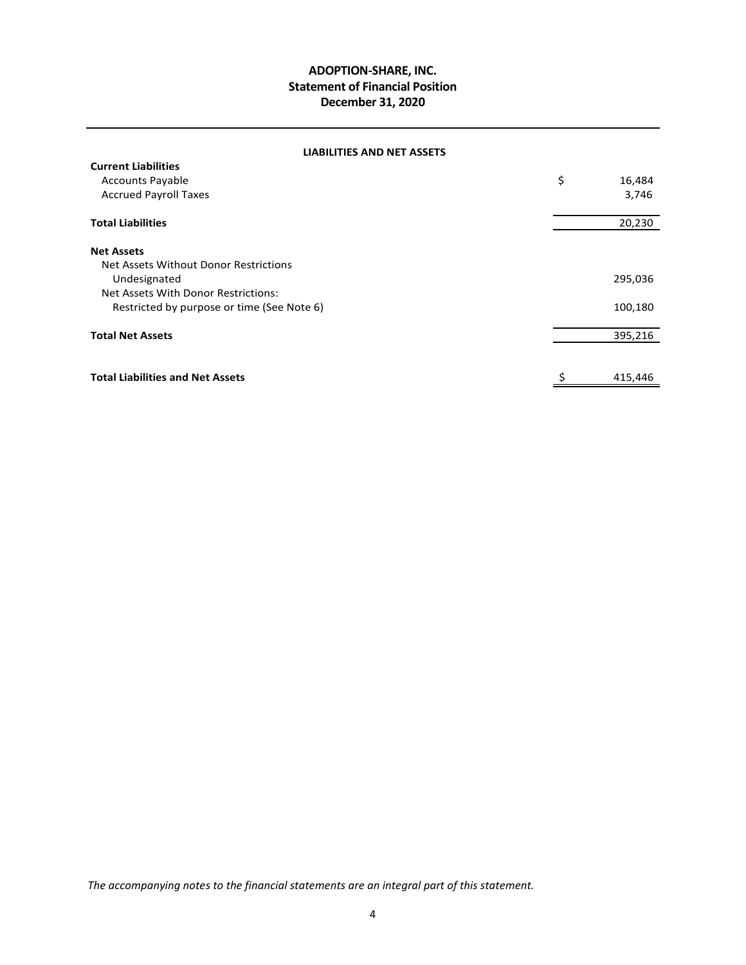# **ADOPTION-SHARE, INC. Statement of Financial Position December 31, 2020**

#### **LIABILITIES AND NET ASSETS**

| <b>Current Liabilities</b>                 |              |
|--------------------------------------------|--------------|
| <b>Accounts Payable</b>                    | \$<br>16,484 |
| <b>Accrued Payroll Taxes</b>               | 3,746        |
| <b>Total Liabilities</b>                   | 20,230       |
| <b>Net Assets</b>                          |              |
| Net Assets Without Donor Restrictions      |              |
| Undesignated                               | 295,036      |
| Net Assets With Donor Restrictions:        |              |
| Restricted by purpose or time (See Note 6) | 100,180      |
| <b>Total Net Assets</b>                    | 395,216      |
|                                            |              |
| <b>Total Liabilities and Net Assets</b>    | 415,446      |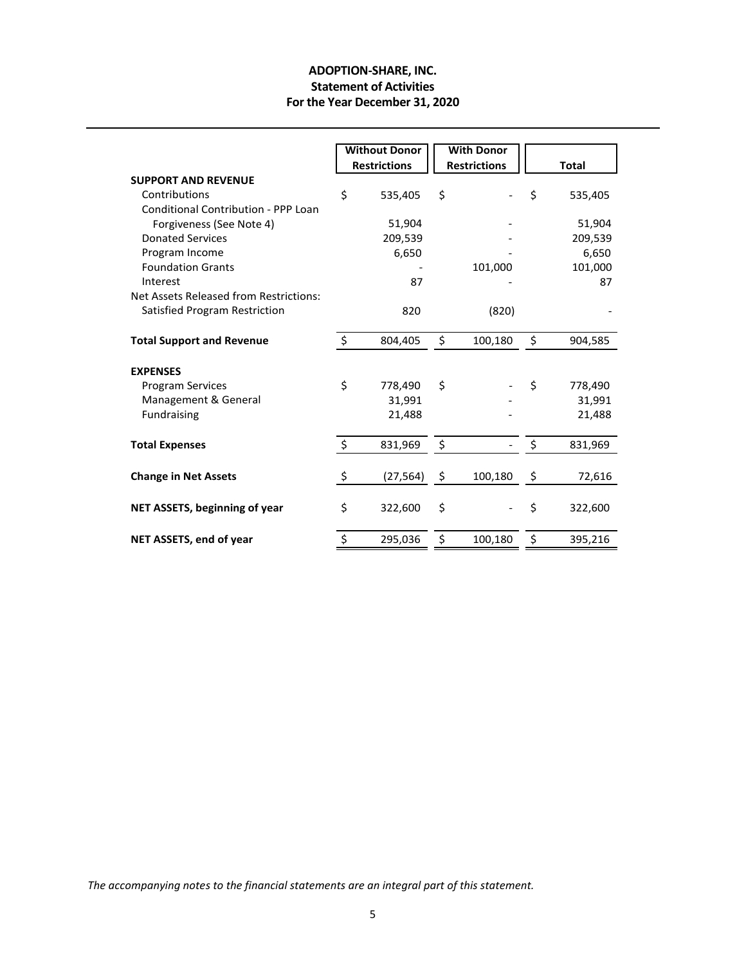# **ADOPTION-SHARE, INC. Statement of Activities For the Year December 31, 2020**

| <b>Without Donor</b> |                     | <b>With Donor</b>  |                     |    |              |
|----------------------|---------------------|--------------------|---------------------|----|--------------|
|                      | <b>Restrictions</b> |                    | <b>Restrictions</b> |    | <b>Total</b> |
|                      |                     |                    |                     |    |              |
| \$                   | 535,405             | \$                 |                     | \$ | 535,405      |
|                      |                     |                    |                     |    |              |
|                      | 51,904              |                    |                     |    | 51,904       |
|                      | 209,539             |                    |                     |    | 209,539      |
|                      | 6,650               |                    |                     |    | 6,650        |
|                      |                     |                    | 101,000             |    | 101,000      |
|                      | 87                  |                    |                     |    | 87           |
|                      |                     |                    |                     |    |              |
|                      | 820                 |                    | (820)               |    |              |
|                      |                     |                    |                     |    |              |
| \$                   | 804,405             | \$                 | 100,180             | \$ | 904,585      |
|                      |                     |                    |                     |    |              |
|                      |                     |                    |                     |    |              |
| \$                   | 778,490             | Ś                  |                     | Ś. | 778,490      |
|                      | 31,991              |                    |                     |    | 31,991       |
|                      | 21,488              |                    |                     |    | 21,488       |
|                      |                     |                    |                     |    |              |
|                      | 831,969             | $\ddot{\varsigma}$ |                     | \$ | 831,969      |
|                      |                     |                    |                     |    |              |
| \$                   | (27, 564)           | -\$                | 100,180             | \$ | 72,616       |
|                      |                     |                    |                     |    |              |
| \$                   | 322,600             | \$                 |                     | \$ | 322,600      |
|                      |                     |                    |                     |    |              |
| \$                   | 295,036             | \$                 | 100,180             | \$ | 395,216      |
|                      | \$                  |                    |                     |    |              |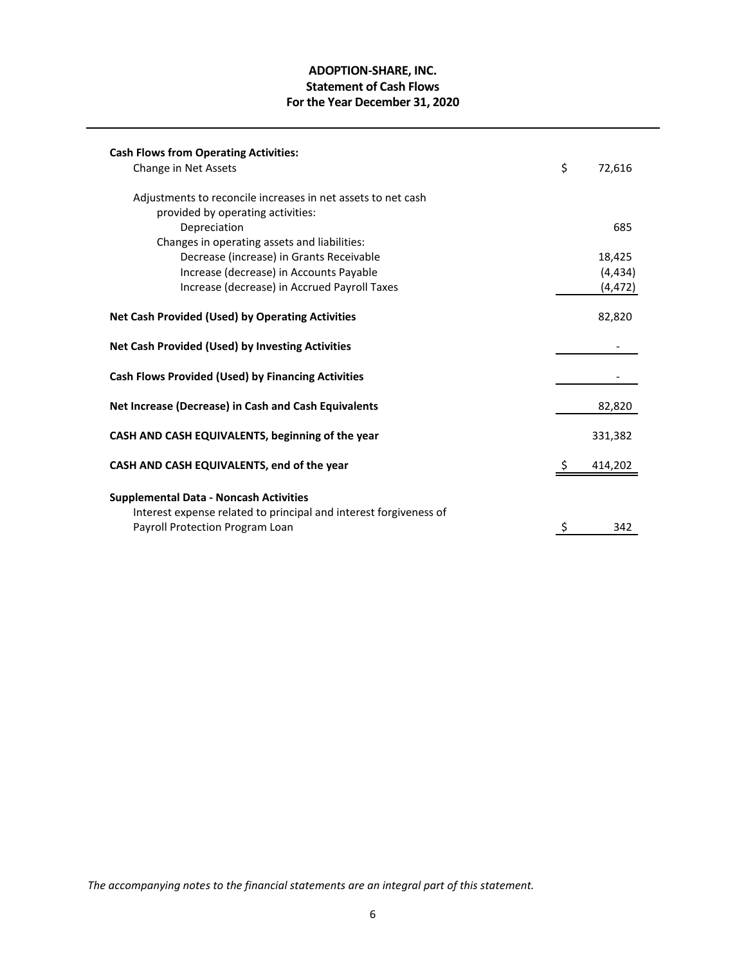# **ADOPTION-SHARE, INC. Statement of Cash Flows For the Year December 31, 2020**

| <b>Cash Flows from Operating Activities:</b>                      |              |
|-------------------------------------------------------------------|--------------|
| Change in Net Assets                                              | \$<br>72,616 |
|                                                                   |              |
| Adjustments to reconcile increases in net assets to net cash      |              |
| provided by operating activities:                                 |              |
| Depreciation                                                      | 685          |
| Changes in operating assets and liabilities:                      |              |
| Decrease (increase) in Grants Receivable                          | 18,425       |
| Increase (decrease) in Accounts Payable                           | (4, 434)     |
| Increase (decrease) in Accrued Payroll Taxes                      | (4, 472)     |
|                                                                   |              |
| <b>Net Cash Provided (Used) by Operating Activities</b>           | 82,820       |
| <b>Net Cash Provided (Used) by Investing Activities</b>           |              |
|                                                                   |              |
| <b>Cash Flows Provided (Used) by Financing Activities</b>         |              |
| Net Increase (Decrease) in Cash and Cash Equivalents              | 82,820       |
|                                                                   |              |
| CASH AND CASH EQUIVALENTS, beginning of the year                  | 331,382      |
| CASH AND CASH EQUIVALENTS, end of the year                        | 414,202      |
|                                                                   |              |
| <b>Supplemental Data - Noncash Activities</b>                     |              |
| Interest expense related to principal and interest forgiveness of |              |
| Payroll Protection Program Loan                                   | \$<br>342    |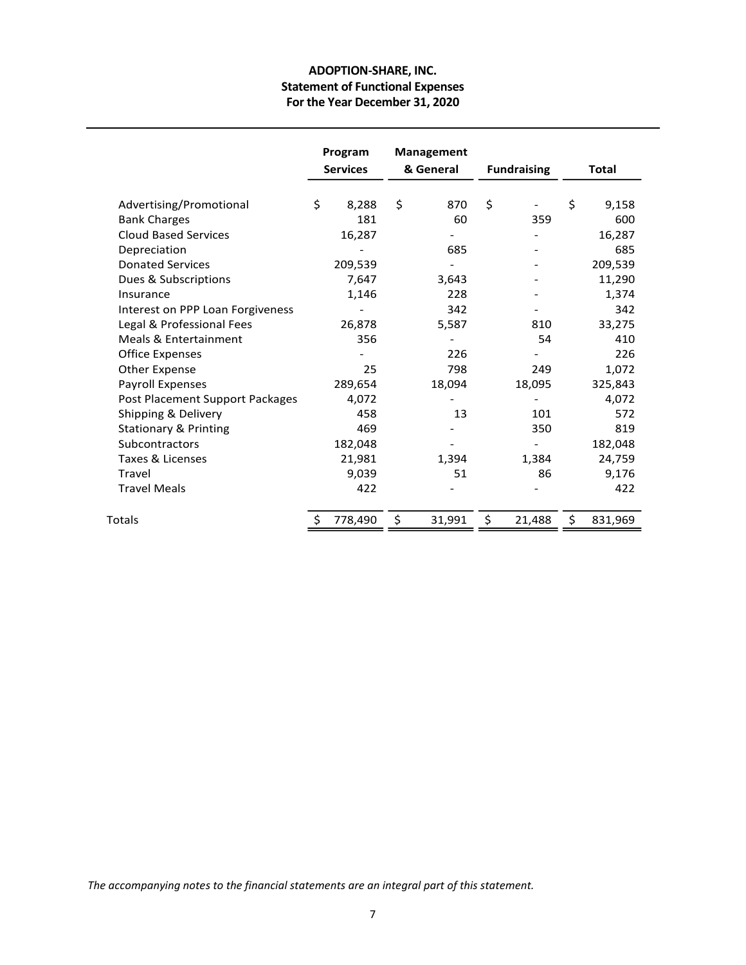# **ADOPTION-SHARE, INC. Statement of Functional Expenses For the Year December 31, 2020**

|                                  |    | Program<br><b>Services</b> | Management<br>& General | <b>Fundraising</b> | <b>Total</b>  |
|----------------------------------|----|----------------------------|-------------------------|--------------------|---------------|
| Advertising/Promotional          | \$ | 8,288                      | \$<br>870               | \$                 | \$<br>9,158   |
| <b>Bank Charges</b>              |    | 181                        | 60                      | 359                | 600           |
| <b>Cloud Based Services</b>      |    | 16,287                     |                         |                    | 16,287        |
| Depreciation                     |    |                            | 685                     |                    | 685           |
| <b>Donated Services</b>          |    | 209,539                    |                         |                    | 209,539       |
| Dues & Subscriptions             |    | 7,647                      | 3,643                   |                    | 11,290        |
| Insurance                        |    | 1,146                      | 228                     |                    | 1,374         |
| Interest on PPP Loan Forgiveness |    |                            | 342                     |                    | 342           |
| Legal & Professional Fees        |    | 26,878                     | 5,587                   | 810                | 33,275        |
| Meals & Entertainment            |    | 356                        |                         | 54                 | 410           |
| <b>Office Expenses</b>           |    |                            | 226                     |                    | 226           |
| Other Expense                    |    | 25                         | 798                     | 249                | 1,072         |
| <b>Payroll Expenses</b>          |    | 289,654                    | 18,094                  | 18,095             | 325,843       |
| Post Placement Support Packages  |    | 4,072                      |                         |                    | 4,072         |
| Shipping & Delivery              |    | 458                        | 13                      | 101                | 572           |
| <b>Stationary &amp; Printing</b> |    | 469                        |                         | 350                | 819           |
| Subcontractors                   |    | 182,048                    |                         |                    | 182,048       |
| Taxes & Licenses                 |    | 21,981                     | 1,394                   | 1,384              | 24,759        |
| Travel                           |    | 9,039                      | 51                      | 86                 | 9,176         |
| <b>Travel Meals</b>              |    | 422                        |                         |                    | 422           |
| Totals                           | Ŝ  | 778,490                    | \$<br>31,991            | \$<br>21,488       | \$<br>831,969 |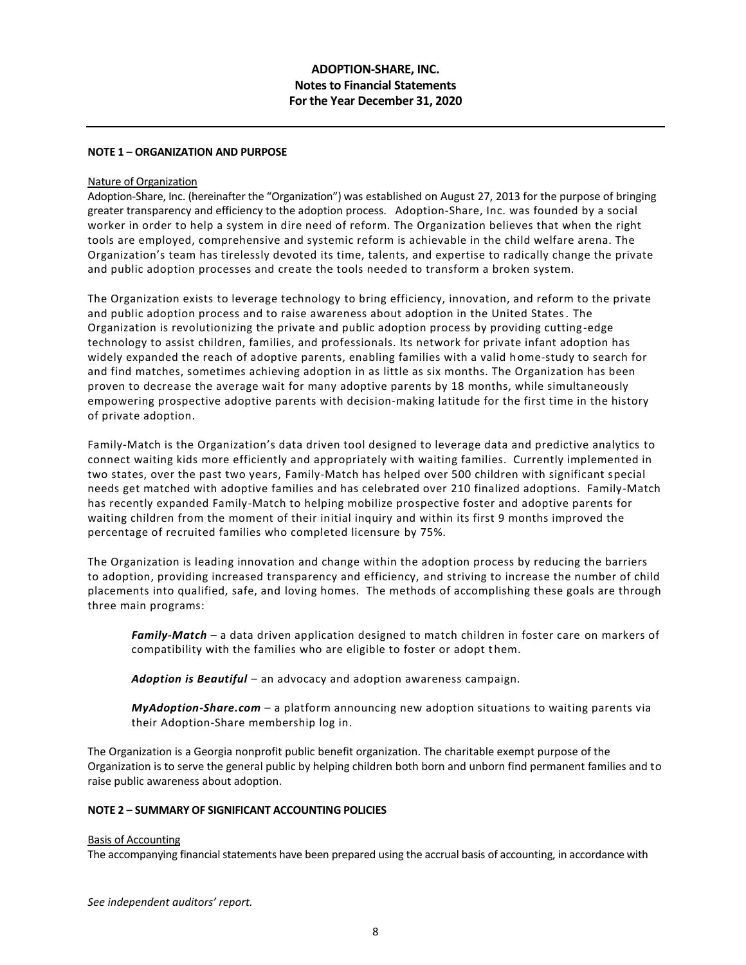#### **NOTE 1 – ORGANIZATION AND PURPOSE**

#### Nature of Organization

Adoption-Share, Inc. (hereinafter the "Organization") was established on August 27, 2013 for the purpose of bringing greater transparency and efficiency to the adoption process. Adoption-Share, Inc. was founded by a social worker in order to help a system in dire need of reform. The Organization believes that when the right tools are employed, comprehensive and systemic reform is achievable in the child welfare arena. The Organization's team has tirelessly devoted its time, talents, and expertise to radically change the private and public adoption processes and create the tools needed to transform a broken system.

The Organization exists to leverage technology to bring efficiency, innovation, and reform to the private and public adoption process and to raise awareness about adoption in the United States. The Organization is revolutionizing the private and public adoption process by providing cutting -edge technology to assist children, families, and professionals. Its network for private infant adoption has widely expanded the reach of adoptive parents, enabling families with a valid home-study to search for and find matches, sometimes achieving adoption in as little as six months. The Organization has been proven to decrease the average wait for many adoptive parents by 18 months, while simultaneously empowering prospective adoptive parents with decision-making latitude for the first time in the history of private adoption.

Family-Match is the Organization's data driven tool designed to leverage data and predictive analytics to connect waiting kids more efficiently and appropriately with waiting families. Currently implemented in two states, over the past two years, Family-Match has helped over 500 children with significant special needs get matched with adoptive families and has celebrated over 210 finalized adoptions. Family-Match has recently expanded Family-Match to helping mobilize prospective foster and adoptive parents for waiting children from the moment of their initial inquiry and within its first 9 months improved the percentage of recruited families who completed licensure by 75%.

The Organization is leading innovation and change within the adoption process by reducing the barriers to adoption, providing increased transparency and efficiency, and striving to increase the number of child placements into qualified, safe, and loving homes. The methods of accomplishing these goals are through three main programs:

*Family-Match* – a data driven application designed to match children in foster care on markers of compatibility with the families who are eligible to foster or adopt them.

Adoption is Beautiful – an advocacy and adoption awareness campaign.

*MyAdoption-Share.com* – a platform announcing new adoption situations to waiting parents via their Adoption-Share membership log in.

The Organization is a Georgia nonprofit public benefit organization. The charitable exempt purpose of the Organization is to serve the general public by helping children both born and unborn find permanent families and to raise public awareness about adoption.

#### **NOTE 2 – SUMMARY OF SIGNIFICANT ACCOUNTING POLICIES**

#### Basis of Accounting

The accompanying financial statements have been prepared using the accrual basis of accounting, in accordance with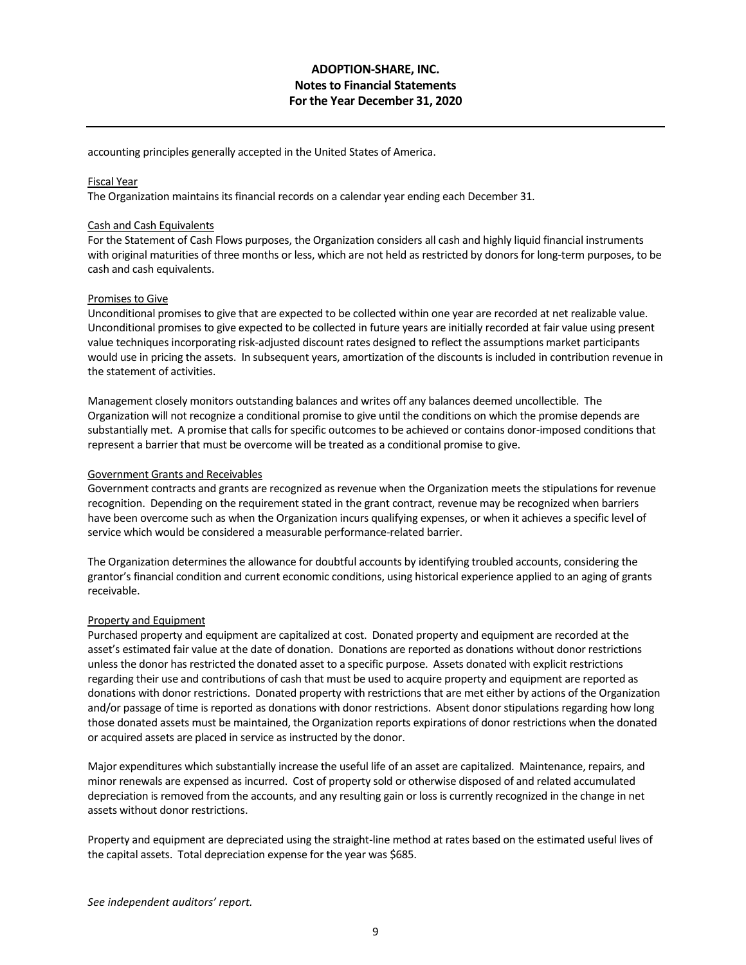accounting principles generally accepted in the United States of America.

#### Fiscal Year

The Organization maintains its financial records on a calendar year ending each December 31.

#### Cash and Cash Equivalents

For the Statement of Cash Flows purposes, the Organization considers all cash and highly liquid financial instruments with original maturities of three months or less, which are not held as restricted by donors for long-term purposes, to be cash and cash equivalents.

#### Promises to Give

Unconditional promises to give that are expected to be collected within one year are recorded at net realizable value. Unconditional promises to give expected to be collected in future years are initially recorded at fair value using present value techniques incorporating risk-adjusted discount rates designed to reflect the assumptions market participants would use in pricing the assets. In subsequent years, amortization of the discounts is included in contribution revenue in the statement of activities.

Management closely monitors outstanding balances and writes off any balances deemed uncollectible. The Organization will not recognize a conditional promise to give until the conditions on which the promise depends are substantially met. A promise that calls for specific outcomes to be achieved or contains donor-imposed conditions that represent a barrier that must be overcome will be treated as a conditional promise to give.

#### Government Grants and Receivables

Government contracts and grants are recognized as revenue when the Organization meets the stipulations for revenue recognition. Depending on the requirement stated in the grant contract, revenue may be recognized when barriers have been overcome such as when the Organization incurs qualifying expenses, or when it achieves a specific level of service which would be considered a measurable performance-related barrier.

The Organization determines the allowance for doubtful accounts by identifying troubled accounts, considering the grantor's financial condition and current economic conditions, using historical experience applied to an aging of grants receivable.

#### Property and Equipment

Purchased property and equipment are capitalized at cost. Donated property and equipment are recorded at the asset's estimated fair value at the date of donation. Donations are reported as donations without donor restrictions unless the donor has restricted the donated asset to a specific purpose. Assets donated with explicit restrictions regarding their use and contributions of cash that must be used to acquire property and equipment are reported as donations with donor restrictions. Donated property with restrictions that are met either by actions of the Organization and/or passage of time is reported as donations with donor restrictions. Absent donor stipulations regarding how long those donated assets must be maintained, the Organization reports expirations of donor restrictions when the donated or acquired assets are placed in service as instructed by the donor.

Major expenditures which substantially increase the useful life of an asset are capitalized. Maintenance, repairs, and minor renewals are expensed as incurred. Cost of property sold or otherwise disposed of and related accumulated depreciation is removed from the accounts, and any resulting gain or loss is currently recognized in the change in net assets without donor restrictions.

Property and equipment are depreciated using the straight-line method at rates based on the estimated useful lives of the capital assets. Total depreciation expense for the year was \$685.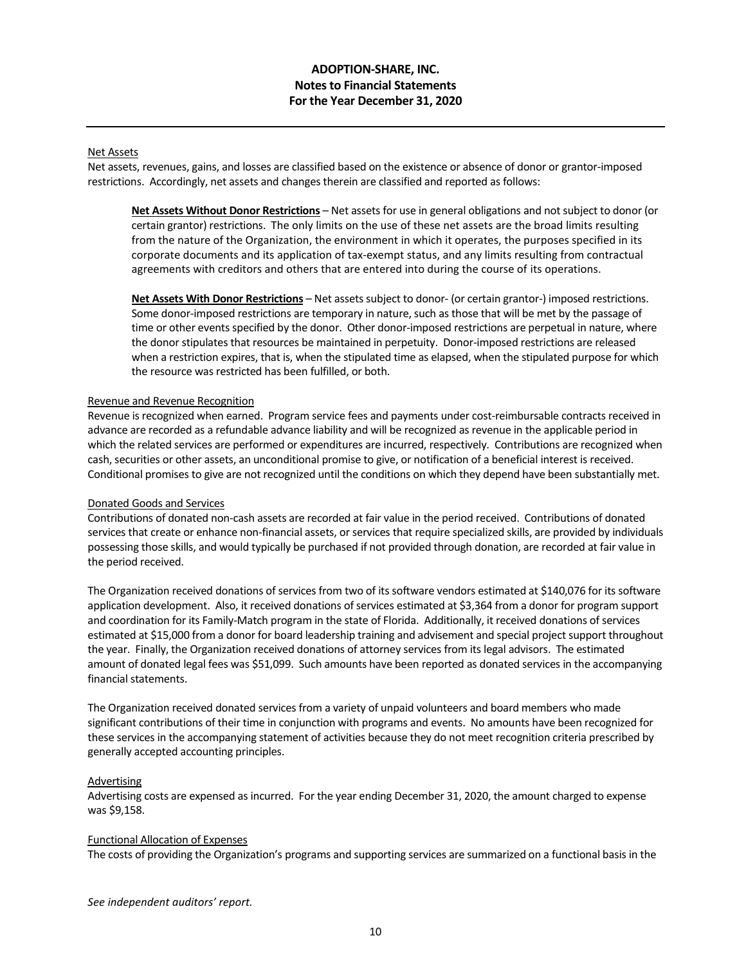#### Net Assets

Net assets, revenues, gains, and losses are classified based on the existence or absence of donor or grantor-imposed restrictions. Accordingly, net assets and changes therein are classified and reported as follows:

**Net Assets Without Donor Restrictions** – Net assets for use in general obligations and not subject to donor (or certain grantor) restrictions. The only limits on the use of these net assets are the broad limits resulting from the nature of the Organization, the environment in which it operates, the purposes specified in its corporate documents and its application of tax-exempt status, and any limits resulting from contractual agreements with creditors and others that are entered into during the course of its operations.

**Net Assets With Donor Restrictions** – Net assets subject to donor- (or certain grantor-) imposed restrictions. Some donor-imposed restrictions are temporary in nature, such as those that will be met by the passage of time or other events specified by the donor. Other donor-imposed restrictions are perpetual in nature, where the donor stipulates that resources be maintained in perpetuity. Donor-imposed restrictions are released when a restriction expires, that is, when the stipulated time as elapsed, when the stipulated purpose for which the resource was restricted has been fulfilled, or both.

#### Revenue and Revenue Recognition

Revenue is recognized when earned. Program service fees and payments under cost-reimbursable contracts received in advance are recorded as a refundable advance liability and will be recognized as revenue in the applicable period in which the related services are performed or expenditures are incurred, respectively. Contributions are recognized when cash, securities or other assets, an unconditional promise to give, or notification of a beneficial interest is received. Conditional promises to give are not recognized until the conditions on which they depend have been substantially met.

#### Donated Goods and Services

Contributions of donated non-cash assets are recorded at fair value in the period received. Contributions of donated services that create or enhance non-financial assets, or services that require specialized skills, are provided by individuals possessing those skills, and would typically be purchased if not provided through donation, are recorded at fair value in the period received.

The Organization received donations of services from two of its software vendors estimated at \$140,076 for its software application development. Also, it received donations of services estimated at \$3,364 from a donor for program support and coordination for its Family-Match program in the state of Florida. Additionally, it received donations of services estimated at \$15,000 from a donor for board leadership training and advisement and special project support throughout the year. Finally, the Organization received donations of attorney services from its legal advisors. The estimated amount of donated legal fees was \$51,099. Such amounts have been reported as donated services in the accompanying financial statements.

The Organization received donated services from a variety of unpaid volunteers and board members who made significant contributions of their time in conjunction with programs and events. No amounts have been recognized for these services in the accompanying statement of activities because they do not meet recognition criteria prescribed by generally accepted accounting principles.

#### Advertising

Advertising costs are expensed as incurred. For the year ending December 31, 2020, the amount charged to expense was \$9,158.

#### Functional Allocation of Expenses

The costs of providing the Organization's programs and supporting services are summarized on a functional basis in the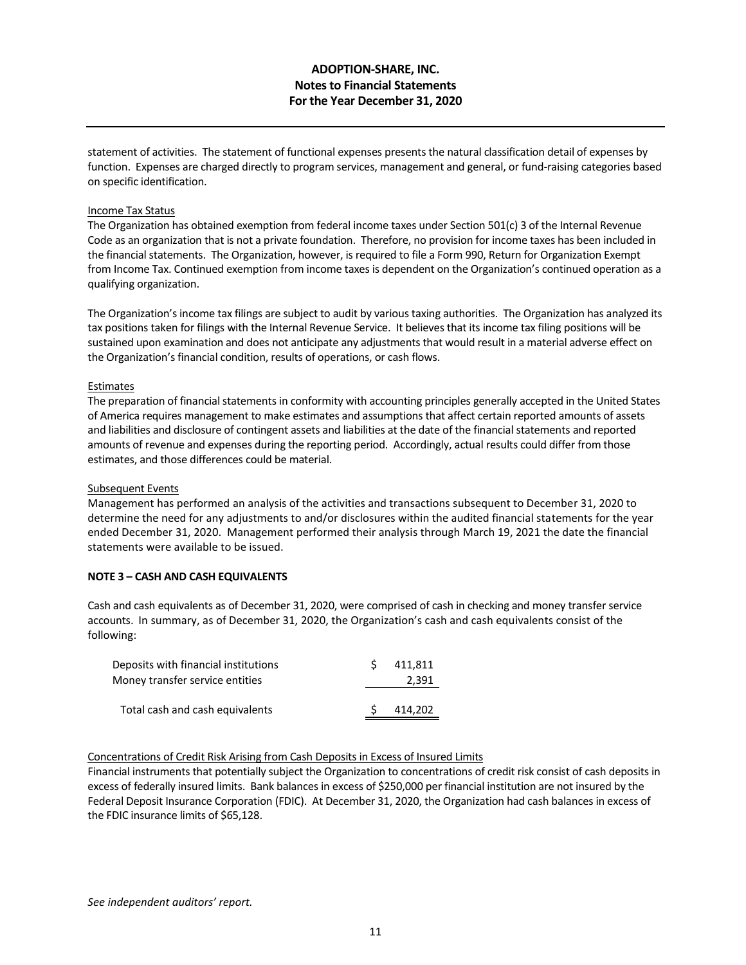statement of activities. The statement of functional expenses presents the natural classification detail of expenses by function. Expenses are charged directly to program services, management and general, or fund-raising categories based on specific identification.

#### Income Tax Status

The Organization has obtained exemption from federal income taxes under Section 501(c) 3 of the Internal Revenue Code as an organization that is not a private foundation. Therefore, no provision for income taxes has been included in the financial statements. The Organization, however, is required to file a Form 990, Return for Organization Exempt from Income Tax. Continued exemption from income taxes is dependent on the Organization's continued operation as a qualifying organization.

The Organization's income tax filings are subject to audit by various taxing authorities. The Organization has analyzed its tax positions taken for filings with the Internal Revenue Service. It believes that its income tax filing positions will be sustained upon examination and does not anticipate any adjustments that would result in a material adverse effect on the Organization's financial condition, results of operations, or cash flows.

#### Estimates

The preparation of financial statements in conformity with accounting principles generally accepted in the United States of America requires management to make estimates and assumptions that affect certain reported amounts of assets and liabilities and disclosure of contingent assets and liabilities at the date of the financial statements and reported amounts of revenue and expenses during the reporting period. Accordingly, actual results could differ from those estimates, and those differences could be material.

#### Subsequent Events

Management has performed an analysis of the activities and transactions subsequent to December 31, 2020 to determine the need for any adjustments to and/or disclosures within the audited financial statements for the year ended December 31, 2020. Management performed their analysis through March 19, 2021 the date the financial statements were available to be issued.

## **NOTE 3 – CASH AND CASH EQUIVALENTS**

Cash and cash equivalents as of December 31, 2020, were comprised of cash in checking and money transfer service accounts. In summary, as of December 31, 2020, the Organization's cash and cash equivalents consist of the following:

| Deposits with financial institutions | 411.811 |
|--------------------------------------|---------|
| Money transfer service entities      | 2,391   |
|                                      |         |
| Total cash and cash equivalents      | 414.202 |

## Concentrations of Credit Risk Arising from Cash Deposits in Excess of Insured Limits

Financial instruments that potentially subject the Organization to concentrations of credit risk consist of cash deposits in excess of federally insured limits. Bank balances in excess of \$250,000 per financial institution are not insured by the Federal Deposit Insurance Corporation (FDIC). At December 31, 2020, the Organization had cash balances in excess of the FDIC insurance limits of \$65,128.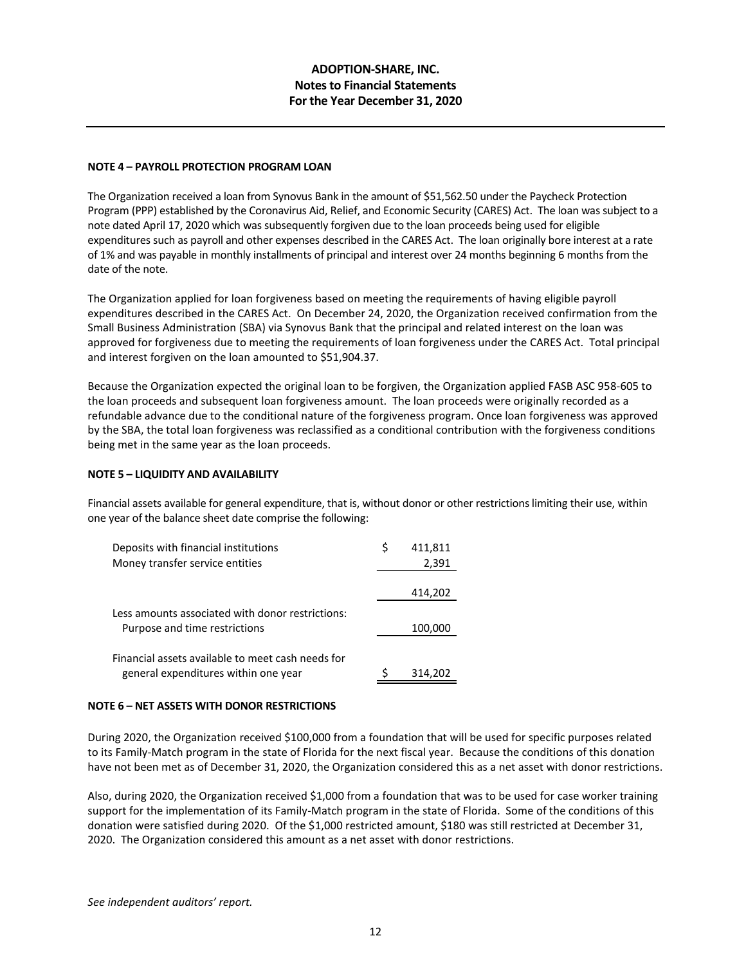#### **NOTE 4 – PAYROLL PROTECTION PROGRAM LOAN**

The Organization received a loan from Synovus Bank in the amount of \$51,562.50 under the Paycheck Protection Program (PPP) established by the Coronavirus Aid, Relief, and Economic Security (CARES) Act. The loan was subject to a note dated April 17, 2020 which was subsequently forgiven due to the loan proceeds being used for eligible expenditures such as payroll and other expenses described in the CARES Act. The loan originally bore interest at a rate of 1% and was payable in monthly installments of principal and interest over 24 months beginning 6 months from the date of the note.

The Organization applied for loan forgiveness based on meeting the requirements of having eligible payroll expenditures described in the CARES Act. On December 24, 2020, the Organization received confirmation from the Small Business Administration (SBA) via Synovus Bank that the principal and related interest on the loan was approved for forgiveness due to meeting the requirements of loan forgiveness under the CARES Act. Total principal and interest forgiven on the loan amounted to \$51,904.37.

Because the Organization expected the original loan to be forgiven, the Organization applied FASB ASC 958-605 to the loan proceeds and subsequent loan forgiveness amount. The loan proceeds were originally recorded as a refundable advance due to the conditional nature of the forgiveness program. Once loan forgiveness was approved by the SBA, the total loan forgiveness was reclassified as a conditional contribution with the forgiveness conditions being met in the same year as the loan proceeds.

#### **NOTE 5 – LIQUIDITY AND AVAILABILITY**

Financial assets available for general expenditure, that is, without donor or other restrictions limiting their use, within one year of the balance sheet date comprise the following:

| Deposits with financial institutions              | 411,811 |
|---------------------------------------------------|---------|
| Money transfer service entities                   | 2,391   |
|                                                   |         |
|                                                   | 414,202 |
| Less amounts associated with donor restrictions:  |         |
| Purpose and time restrictions                     | 100,000 |
|                                                   |         |
| Financial assets available to meet cash needs for |         |
| general expenditures within one year              | 314,202 |

## **NOTE 6 – NET ASSETS WITH DONOR RESTRICTIONS**

During 2020, the Organization received \$100,000 from a foundation that will be used for specific purposes related to its Family-Match program in the state of Florida for the next fiscal year. Because the conditions of this donation have not been met as of December 31, 2020, the Organization considered this as a net asset with donor restrictions.

Also, during 2020, the Organization received \$1,000 from a foundation that was to be used for case worker training support for the implementation of its Family-Match program in the state of Florida. Some of the conditions of this donation were satisfied during 2020. Of the \$1,000 restricted amount, \$180 was still restricted at December 31, 2020. The Organization considered this amount as a net asset with donor restrictions.